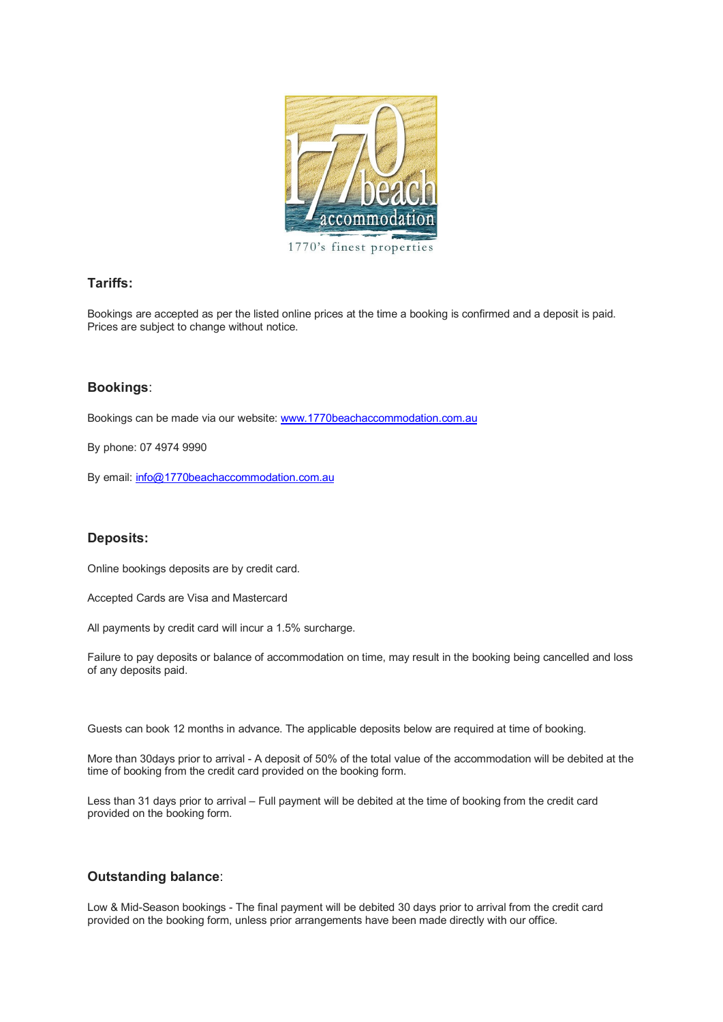

1770's finest properties

## **Tariffs:**

Bookings are accepted as per the listed online prices at the time a booking is confirmed and a deposit is paid. Prices are subject to change without notice.

# **Bookings**:

Bookings can be made via our website: [www.1770beachaccommodation.com.au](http://www.1770beachaccommodation.com.au/)

By phone: 07 4974 9990

By email:  $info@1770beachaccommodation.com.au$ 

## **Deposits:**

Online bookings deposits are by credit card.

Accepted Cards are Visa and Mastercard

All payments by credit card will incur a 1.5% surcharge.

Failure to pay deposits or balance of accommodation on time, may result in the booking being cancelled and loss of any deposits paid.

Guests can book 12 months in advance. The applicable deposits below are required at time of booking.

More than 30days prior to arrival - A deposit of 50% of the total value of the accommodation will be debited at the time of booking from the credit card provided on the booking form.

Less than 31 days prior to arrival – Full payment will be debited at the time of booking from the credit card provided on the booking form.

## **Outstanding balance**:

Low & Mid-Season bookings - The final payment will be debited 30 days prior to arrival from the credit card provided on the booking form, unless prior arrangements have been made directly with our office.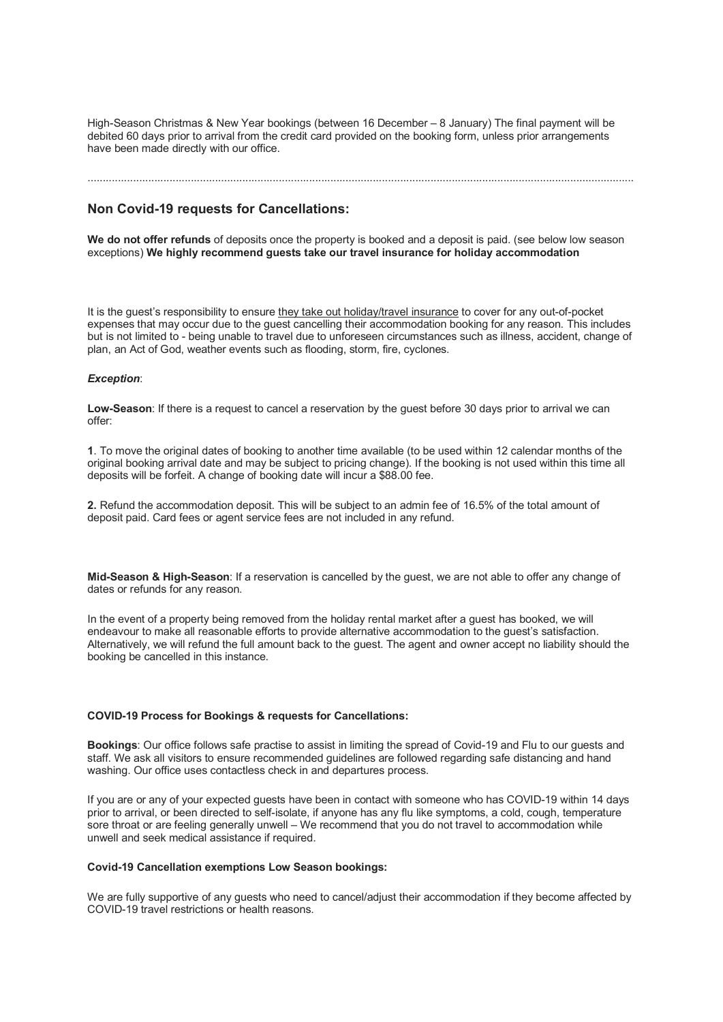High-Season Christmas & New Year bookings (between 16 December – 8 January) The final payment will be debited 60 days prior to arrival from the credit card provided on the booking form, unless prior arrangements have been made directly with our office.

### ....................................................................................................................................................................................

## **Non Covid-19 requests for Cancellations:**

**We do not offer refunds** of deposits once the property is booked and a deposit is paid. (see below low season exceptions) **We highly recommend guests take our travel insurance for holiday accommodation**

It is the guest's responsibility to ensure they take out holiday/travel insurance to cover for any out-of-pocket expenses that may occur due to the guest cancelling their accommodation booking for any reason. This includes but is not limited to - being unable to travel due to unforeseen circumstances such as illness, accident, change of plan, an Act of God, weather events such as flooding, storm, fire, cyclones.

### *Exception*:

**Low-Season**: If there is a request to cancel a reservation by the guest before 30 days prior to arrival we can offer:

**1**. To move the original dates of booking to another time available (to be used within 12 calendar months of the original booking arrival date and may be subject to pricing change). If the booking is not used within this time all deposits will be forfeit. A change of booking date will incur a \$88.00 fee.

**2.** Refund the accommodation deposit. This will be subject to an admin fee of 16.5% of the total amount of deposit paid. Card fees or agent service fees are not included in any refund.

**Mid-Season & High-Season**: If a reservation is cancelled by the guest, we are not able to offer any change of dates or refunds for any reason.

In the event of a property being removed from the holiday rental market after a guest has booked, we will endeavour to make all reasonable efforts to provide alternative accommodation to the guest's satisfaction. Alternatively, we will refund the full amount back to the guest. The agent and owner accept no liability should the booking be cancelled in this instance.

#### **COVID-19 Process for Bookings & requests for Cancellations:**

**Bookings**: Our office follows safe practise to assist in limiting the spread of Covid-19 and Flu to our guests and staff. We ask all visitors to ensure recommended guidelines are followed regarding safe distancing and hand washing. Our office uses contactless check in and departures process.

If you are or any of your expected guests have been in contact with someone who has COVID-19 within 14 days prior to arrival, or been directed to self-isolate, if anyone has any flu like symptoms, a cold, cough, temperature sore throat or are feeling generally unwell – We recommend that you do not travel to accommodation while unwell and seek medical assistance if required.

## **Covid-19 Cancellation exemptions Low Season bookings:**

We are fully supportive of any guests who need to cancel/adjust their accommodation if they become affected by COVID-19 travel restrictions or health reasons.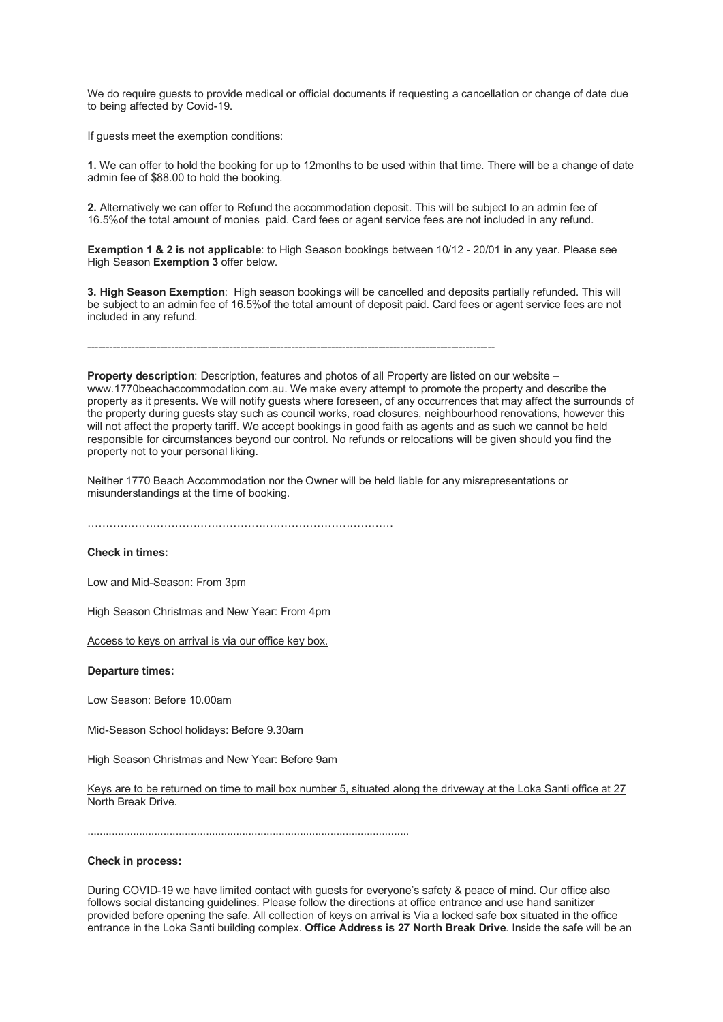We do require guests to provide medical or official documents if requesting a cancellation or change of date due to being affected by Covid-19.

If guests meet the exemption conditions:

**1.** We can offer to hold the booking for up to 12months to be used within that time. There will be a change of date admin fee of \$88.00 to hold the booking.

**2.** Alternatively we can offer to Refund the accommodation deposit. This will be subject to an admin fee of 16.5%of the total amount of monies paid. Card fees or agent service fees are not included in any refund.

**Exemption 1 & 2 is not applicable**: to High Season bookings between 10/12 - 20/01 in any year. Please see High Season **Exemption 3** offer below.

**3. High Season Exemption**: High season bookings will be cancelled and deposits partially refunded. This will be subject to an admin fee of 16.5%of the total amount of deposit paid. Card fees or agent service fees are not included in any refund.

----------------------------------------------------------------------------------------------------------------

**Property description**: Description, features and photos of all Property are listed on our website – www.1770beachaccommodation.com.au. We make every attempt to promote the property and describe the property as it presents. We will notify guests where foreseen, of any occurrences that may affect the surrounds of the property during guests stay such as council works, road closures, neighbourhood renovations, however this will not affect the property tariff. We accept bookings in good faith as agents and as such we cannot be held responsible for circumstances beyond our control. No refunds or relocations will be given should you find the property not to your personal liking.

Neither 1770 Beach Accommodation nor the Owner will be held liable for any misrepresentations or misunderstandings at the time of booking.

…………………………………………………………………………

## **Check in times:**

Low and Mid-Season: From 3pm

High Season Christmas and New Year: From 4pm

Access to keys on arrival is via our office key box.

**Departure times:**

Low Season: Before 10.00am

Mid-Season School holidays: Before 9.30am

High Season Christmas and New Year: Before 9am

Keys are to be returned on time to mail box number 5, situated along the driveway at the Loka Santi office at 27 North Break Drive.

..........................................................................................................

#### **Check in process:**

During COVID-19 we have limited contact with guests for everyone's safety & peace of mind. Our office also follows social distancing guidelines. Please follow the directions at office entrance and use hand sanitizer provided before opening the safe. All collection of keys on arrival is Via a locked safe box situated in the office entrance in the Loka Santi building complex. **Office Address is 27 North Break Drive**. Inside the safe will be an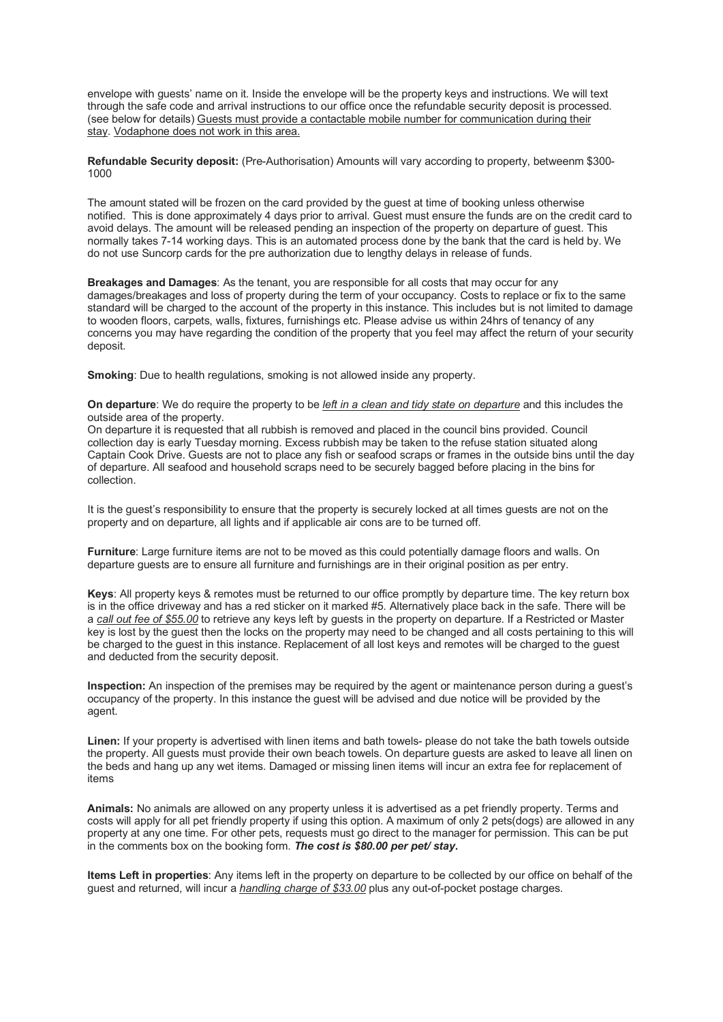envelope with guests' name on it. Inside the envelope will be the property keys and instructions. We will text through the safe code and arrival instructions to our office once the refundable security deposit is processed. (see below for details) Guests must provide a contactable mobile number for communication during their stay. Vodaphone does not work in this area.

**Refundable Security deposit:** (Pre-Authorisation) Amounts will vary according to property, betweenm \$300- 1000

The amount stated will be frozen on the card provided by the guest at time of booking unless otherwise notified. This is done approximately 4 days prior to arrival. Guest must ensure the funds are on the credit card to avoid delays. The amount will be released pending an inspection of the property on departure of guest. This normally takes 7-14 working days. This is an automated process done by the bank that the card is held by. We do not use Suncorp cards for the pre authorization due to lengthy delays in release of funds.

**Breakages and Damages**: As the tenant, you are responsible for all costs that may occur for any damages/breakages and loss of property during the term of your occupancy. Costs to replace or fix to the same standard will be charged to the account of the property in this instance. This includes but is not limited to damage to wooden floors, carpets, walls, fixtures, furnishings etc. Please advise us within 24hrs of tenancy of any concerns you may have regarding the condition of the property that you feel may affect the return of your security deposit.

**Smoking:** Due to health regulations, smoking is not allowed inside any property.

**On departure**: We do require the property to be *left in a clean and tidy state on departure* and this includes the outside area of the property.

On departure it is requested that all rubbish is removed and placed in the council bins provided. Council collection day is early Tuesday morning. Excess rubbish may be taken to the refuse station situated along Captain Cook Drive. Guests are not to place any fish or seafood scraps or frames in the outside bins until the day of departure. All seafood and household scraps need to be securely bagged before placing in the bins for collection.

It is the guest's responsibility to ensure that the property is securely locked at all times guests are not on the property and on departure, all lights and if applicable air cons are to be turned off.

**Furniture**: Large furniture items are not to be moved as this could potentially damage floors and walls. On departure guests are to ensure all furniture and furnishings are in their original position as per entry.

**Keys**: All property keys & remotes must be returned to our office promptly by departure time. The key return box is in the office driveway and has a red sticker on it marked #5. Alternatively place back in the safe. There will be a *call out fee of \$55.00* to retrieve any keys left by guests in the property on departure. If a Restricted or Master key is lost by the guest then the locks on the property may need to be changed and all costs pertaining to this will be charged to the guest in this instance. Replacement of all lost keys and remotes will be charged to the guest and deducted from the security deposit.

**Inspection:** An inspection of the premises may be required by the agent or maintenance person during a guest's occupancy of the property. In this instance the guest will be advised and due notice will be provided by the agent.

**Linen:** If your property is advertised with linen items and bath towels- please do not take the bath towels outside the property. All guests must provide their own beach towels. On departure guests are asked to leave all linen on the beds and hang up any wet items. Damaged or missing linen items will incur an extra fee for replacement of items

**Animals:** No animals are allowed on any property unless it is advertised as a pet friendly property. Terms and costs will apply for all pet friendly property if using this option. A maximum of only 2 pets(dogs) are allowed in any property at any one time. For other pets, requests must go direct to the manager for permission. This can be put in the comments box on the booking form. *The cost is \$80.00 per pet/ stay***.**

**Items Left in properties**: Any items left in the property on departure to be collected by our office on behalf of the guest and returned, will incur a *handling charge of \$33.00* plus any out-of-pocket postage charges.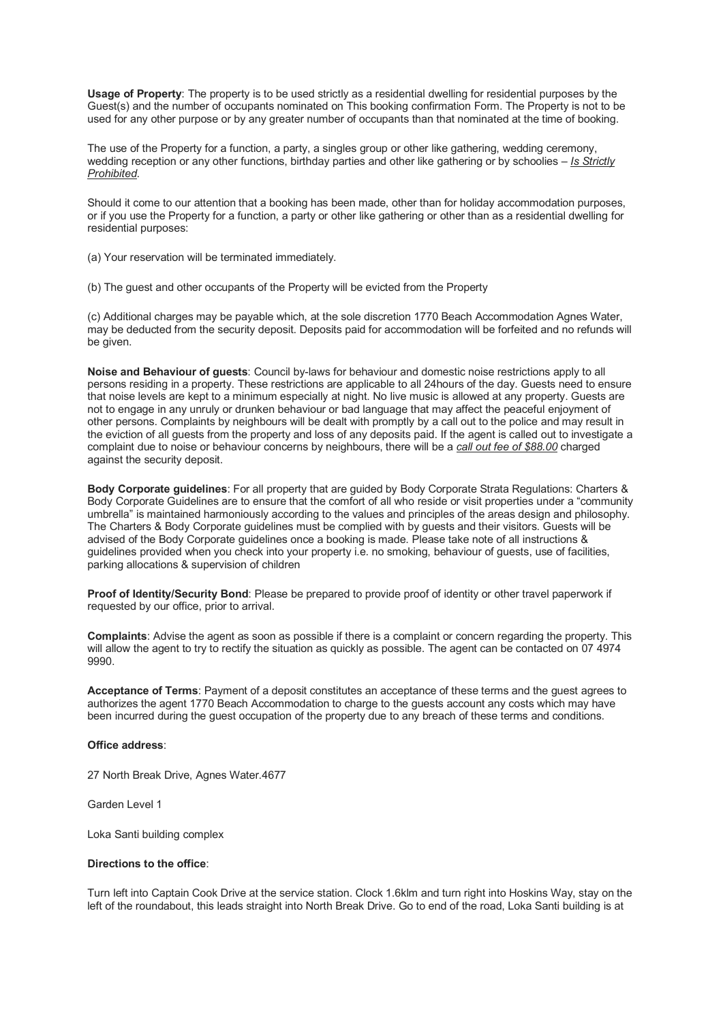**Usage of Property**: The property is to be used strictly as a residential dwelling for residential purposes by the Guest(s) and the number of occupants nominated on This booking confirmation Form. The Property is not to be used for any other purpose or by any greater number of occupants than that nominated at the time of booking.

The use of the Property for a function, a party, a singles group or other like gathering, wedding ceremony, wedding reception or any other functions, birthday parties and other like gathering or by schoolies – *Is Strictly Prohibited*.

Should it come to our attention that a booking has been made, other than for holiday accommodation purposes, or if you use the Property for a function, a party or other like gathering or other than as a residential dwelling for residential purposes:

(a) Your reservation will be terminated immediately.

(b) The guest and other occupants of the Property will be evicted from the Property

(c) Additional charges may be payable which, at the sole discretion 1770 Beach Accommodation Agnes Water, may be deducted from the security deposit. Deposits paid for accommodation will be forfeited and no refunds will be given.

**Noise and Behaviour of guests**: Council by-laws for behaviour and domestic noise restrictions apply to all persons residing in a property. These restrictions are applicable to all 24hours of the day. Guests need to ensure that noise levels are kept to a minimum especially at night. No live music is allowed at any property. Guests are not to engage in any unruly or drunken behaviour or bad language that may affect the peaceful enjoyment of other persons. Complaints by neighbours will be dealt with promptly by a call out to the police and may result in the eviction of all guests from the property and loss of any deposits paid. If the agent is called out to investigate a complaint due to noise or behaviour concerns by neighbours, there will be a *call out fee of \$88.00* charged against the security deposit.

**Body Corporate guidelines**: For all property that are guided by Body Corporate Strata Regulations: Charters & Body Corporate Guidelines are to ensure that the comfort of all who reside or visit properties under a "community umbrella" is maintained harmoniously according to the values and principles of the areas design and philosophy. The Charters & Body Corporate guidelines must be complied with by guests and their visitors. Guests will be advised of the Body Corporate guidelines once a booking is made. Please take note of all instructions & guidelines provided when you check into your property i.e. no smoking, behaviour of guests, use of facilities, parking allocations & supervision of children

**Proof of Identity/Security Bond**: Please be prepared to provide proof of identity or other travel paperwork if requested by our office, prior to arrival.

**Complaints**: Advise the agent as soon as possible if there is a complaint or concern regarding the property. This will allow the agent to try to rectify the situation as quickly as possible. The agent can be contacted on 07 4974 9990.

**Acceptance of Terms**: Payment of a deposit constitutes an acceptance of these terms and the guest agrees to authorizes the agent 1770 Beach Accommodation to charge to the guests account any costs which may have been incurred during the guest occupation of the property due to any breach of these terms and conditions.

#### **Office address**:

27 North Break Drive, Agnes Water.4677

Garden Level 1

Loka Santi building complex

### **Directions to the office**:

Turn left into Captain Cook Drive at the service station. Clock 1.6klm and turn right into Hoskins Way, stay on the left of the roundabout, this leads straight into North Break Drive. Go to end of the road, Loka Santi building is at